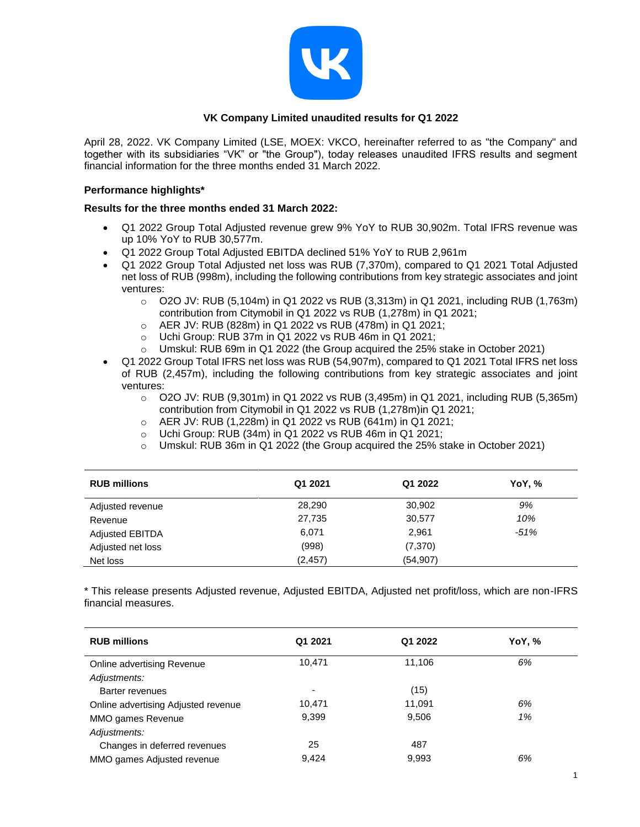

## **VK Company Limited unaudited results for Q1 2022**

April 28, 2022. VK Company Limited (LSE, MOEX: VKCO, hereinafter referred to as "the Company" and together with its subsidiaries "VK" or "the Group"), today releases unaudited IFRS results and segment financial information for the three months ended 31 March 2022.

### **Performance highlights\***

### **Results for the three months ended 31 March 2022:**

- Q1 2022 Group Total Adjusted revenue grew 9% YoY to RUB 30,902m. Total IFRS revenue was up 10% YoY to RUB 30,577m.
- Q1 2022 Group Total Adjusted EBITDA declined 51% YoY to RUB 2,961m
- Q1 2022 Group Total Adjusted net loss was RUB (7,370m), compared to Q1 2021 Total Adjusted net loss of RUB (998m), including the following contributions from key strategic associates and joint ventures:
	- $\circ$  O2O JV: RUB (5,104m) in Q1 2022 vs RUB (3,313m) in Q1 2021, including RUB (1,763m) contribution from Citymobil in Q1 2022 vs RUB (1,278m) in Q1 2021;
	- o AER JV: RUB (828m) in Q1 2022 vs RUB (478m) in Q1 2021;
	- o Uchi Group: RUB 37m in Q1 2022 vs RUB 46m in Q1 2021;
	- o Umskul: RUB 69m in Q1 2022 (the Group acquired the 25% stake in October 2021)
- Q1 2022 Group Total IFRS net loss was RUB (54,907m), compared to Q1 2021 Total IFRS net loss of RUB (2,457m), including the following contributions from key strategic associates and joint ventures:
	- o O2O JV: RUB (9,301m) in Q1 2022 vs RUB (3,495m) in Q1 2021, including RUB (5,365m) contribution from Citymobil in Q1 2022 vs RUB (1,278m)in Q1 2021;
	- o AER JV: RUB (1,228m) in Q1 2022 vs RUB (641m) in Q1 2021;
	- o Uchi Group: RUB (34m) in Q1 2022 vs RUB 46m in Q1 2021;
	- o Umskul: RUB 36m in Q1 2022 (the Group acquired the 25% stake in October 2021)

| <b>RUB millions</b>    | Q1 2021  | Q1 2022   | YoY, % |
|------------------------|----------|-----------|--------|
| Adjusted revenue       | 28,290   | 30,902    | 9%     |
| Revenue                | 27,735   | 30,577    | 10%    |
| <b>Adjusted EBITDA</b> | 6,071    | 2,961     | $-51%$ |
| Adjusted net loss      | (998)    | (7, 370)  |        |
| Net loss               | (2, 457) | (54, 907) |        |

\* This release presents Adjusted revenue, Adjusted EBITDA, Adjusted net profit/loss, which are non-IFRS financial measures.

| <b>RUB millions</b>                 | Q1 2021                  | Q1 2022 | YoY, % |
|-------------------------------------|--------------------------|---------|--------|
| Online advertising Revenue          | 10,471                   | 11,106  | 6%     |
| Adjustments:                        |                          |         |        |
| Barter revenues                     | $\overline{\phantom{a}}$ | (15)    |        |
| Online advertising Adjusted revenue | 10.471                   | 11,091  | 6%     |
| MMO games Revenue                   | 9,399                    | 9,506   | 1%     |
| Adjustments:                        |                          |         |        |
| Changes in deferred revenues        | 25                       | 487     |        |
| MMO games Adjusted revenue          | 9,424                    | 9,993   | 6%     |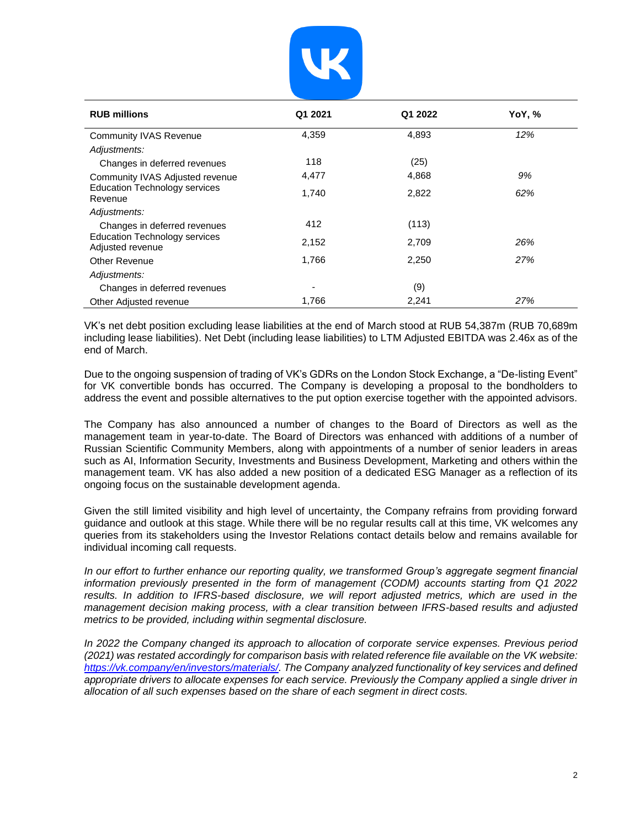

| <b>RUB millions</b>                                      | Q1 2021 | Q1 2022 | YoY, % |
|----------------------------------------------------------|---------|---------|--------|
| <b>Community IVAS Revenue</b>                            | 4,359   | 4,893   | 12%    |
| Adjustments:                                             |         |         |        |
| Changes in deferred revenues                             | 118     | (25)    |        |
| Community IVAS Adjusted revenue                          | 4,477   | 4,868   | 9%     |
| <b>Education Technology services</b><br>Revenue          | 1,740   | 2,822   | 62%    |
| Adjustments:                                             |         |         |        |
| Changes in deferred revenues                             | 412     | (113)   |        |
| <b>Education Technology services</b><br>Adjusted revenue | 2,152   | 2,709   | 26%    |
| Other Revenue                                            | 1,766   | 2,250   | 27%    |
| Adjustments:                                             |         |         |        |
| Changes in deferred revenues                             | ۰       | (9)     |        |
| Other Adjusted revenue                                   | 1,766   | 2,241   | 27%    |

VK's net debt position excluding lease liabilities at the end of March stood at RUB 54,387m (RUB 70,689m including lease liabilities). Net Debt (including lease liabilities) to LTM Adjusted EBITDA was 2.46x as of the end of March.

Due to the ongoing suspension of trading of VK's GDRs on the London Stock Exchange, a "De-listing Event" for VK convertible bonds has occurred. The Company is developing a proposal to the bondholders to address the event and possible alternatives to the put option exercise together with the appointed advisors.

The Company has also announced a number of changes to the Board of Directors as well as the management team in year-to-date. The Board of Directors was enhanced with additions of a number of Russian Scientific Community Members, along with appointments of a number of senior leaders in areas such as AI, Information Security, Investments and Business Development, Marketing and others within the management team. VK has also added a new position of a dedicated ESG Manager as a reflection of its ongoing focus on the sustainable development agenda.

Given the still limited visibility and high level of uncertainty, the Company refrains from providing forward guidance and outlook at this stage. While there will be no regular results call at this time, VK welcomes any queries from its stakeholders using the Investor Relations contact details below and remains available for individual incoming call requests.

*In our effort to further enhance our reporting quality, we transformed Group's aggregate segment financial information previously presented in the form of management (CODM) accounts starting from Q1 2022* results. In addition to IFRS-based disclosure, we will report adjusted metrics, which are used in the *management decision making process, with a clear transition between IFRS-based results and adjusted metrics to be provided, including within segmental disclosure.*

*In 2022 the Company changed its approach to allocation of corporate service expenses. Previous period (2021) was restated accordingly for comparison basis with related reference file available on the VK website: [https://vk.company/en/investors/materials/.](https://vk.company/en/investors/materials/) The Company analyzed functionality of key services and defined appropriate drivers to allocate expenses for each service. Previously the Company applied a single driver in allocation of all such expenses based on the share of each segment in direct costs.*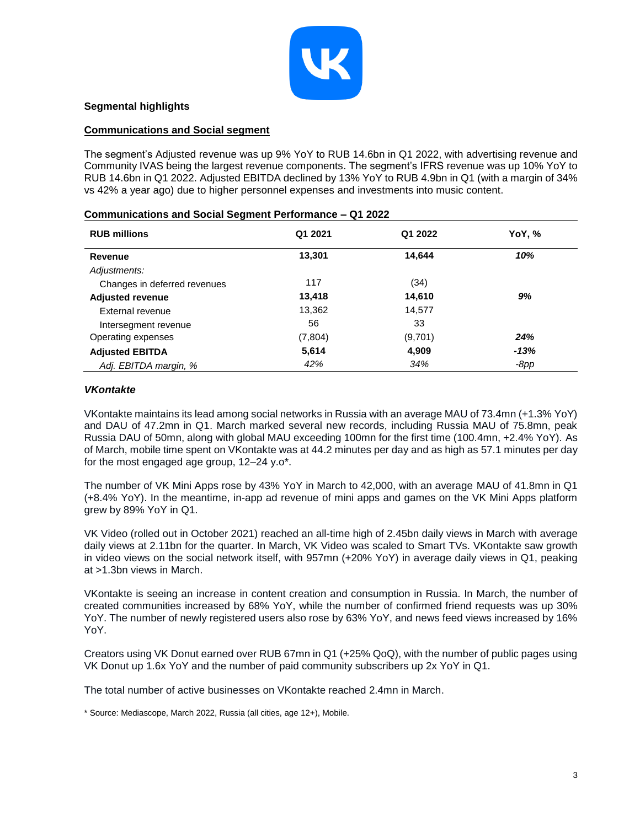

## **Segmental highlights**

#### **Communications and Social segment**

The segment's Adjusted revenue was up 9% YoY to RUB 14.6bn in Q1 2022, with advertising revenue and Community IVAS being the largest revenue components. The segment's IFRS revenue was up 10% YoY to RUB 14.6bn in Q1 2022. Adjusted EBITDA declined by 13% YoY to RUB 4.9bn in Q1 (with a margin of 34% vs 42% a year ago) due to higher personnel expenses and investments into music content.

| <b>RUB millions</b>          | Q1 2021 | Q1 2022 | YoY, % |
|------------------------------|---------|---------|--------|
| Revenue                      | 13,301  | 14,644  | 10%    |
| Adjustments:                 |         |         |        |
| Changes in deferred revenues | 117     | (34)    |        |
| <b>Adjusted revenue</b>      | 13,418  | 14,610  | 9%     |
| External revenue             | 13,362  | 14,577  |        |
| Intersegment revenue         | 56      | 33      |        |
| Operating expenses           | (7,804) | (9,701) | 24%    |
| <b>Adjusted EBITDA</b>       | 5,614   | 4,909   | $-13%$ |
| Adj. EBITDA margin, %        | 42%     | 34%     | $-8pp$ |

#### **Communications and Social Segment Performance – Q1 2022**

#### *VKontakte*

VKontakte maintains its lead among social networks in Russia with an average MAU of 73.4mn (+1.3% YoY) and DAU of 47.2mn in Q1. March marked several new records, including Russia MAU of 75.8mn, peak Russia DAU of 50mn, along with global MAU exceeding 100mn for the first time (100.4mn, +2.4% YoY). As of March, mobile time spent on VKontakte was at 44.2 minutes per day and as high as 57.1 minutes per day for the most engaged age group, 12–24 y.o\*.

The number of VK Mini Apps rose by 43% YoY in March to 42,000, with an average MAU of 41.8mn in Q1 (+8.4% YoY). In the meantime, in-app ad revenue of mini apps and games on the VK Mini Apps platform grew by 89% YoY in Q1.

VK Video (rolled out in October 2021) reached an all-time high of 2.45bn daily views in March with average daily views at 2.11bn for the quarter. In March, VK Video was scaled to Smart TVs. VKontakte saw growth in video views on the social network itself, with 957mn (+20% YoY) in average daily views in Q1, peaking at >1.3bn views in March.

VKontakte is seeing an increase in content creation and consumption in Russia. In March, the number of created communities increased by 68% YoY, while the number of confirmed friend requests was up 30% YoY. The number of newly registered users also rose by 63% YoY, and news feed views increased by 16% YoY.

Creators using VK Donut earned over RUB 67mn in Q1 (+25% QoQ), with the number of public pages using VK Donut up 1.6x YoY and the number of paid community subscribers up 2x YoY in Q1.

The total number of active businesses on VKontakte reached 2.4mn in March.

\* Source: Mediascope, March 2022, Russia (all cities, age 12+), Mobile.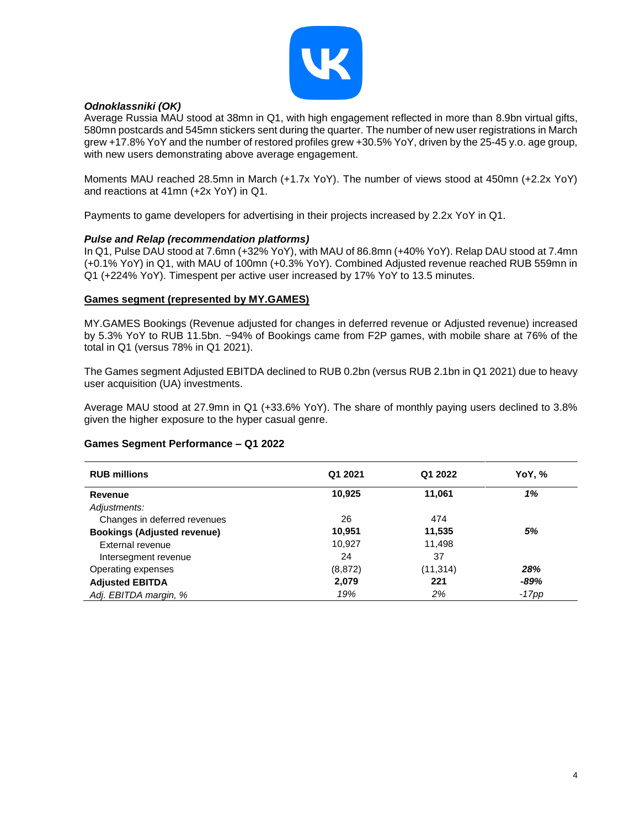

## *Odnoklassniki (OK)*

Average Russia MAU stood at 38mn in Q1, with high engagement reflected in more than 8.9bn virtual gifts, 580mn postcards and 545mn stickers sent during the quarter. The number of new user registrations in March grew +17.8% YoY and the number of restored profiles grew +30.5% YoY, driven by the 25-45 y.o. age group, with new users demonstrating above average engagement.

Moments MAU reached 28.5mn in March (+1.7x YoY). The number of views stood at 450mn (+2.2x YoY) and reactions at 41mn (+2x YoY) in Q1.

Payments to game developers for advertising in their projects increased by 2.2x YoY in Q1.

#### *Pulse and Relap (recommendation platforms)*

In Q1, Pulse DAU stood at 7.6mn (+32% YoY), with MAU of 86.8mn (+40% YoY). Relap DAU stood at 7.4mn (+0.1% YoY) in Q1, with MAU of 100mn (+0.3% YoY). Combined Adjusted revenue reached RUB 559mn in Q1 (+224% YoY). Timespent per active user increased by 17% YoY to 13.5 minutes.

#### **Games segment (represented by MY.GAMES)**

MY.GAMES Bookings (Revenue adjusted for changes in deferred revenue or Adjusted revenue) increased by 5.3% YoY to RUB 11.5bn. ~94% of Bookings came from F2P games, with mobile share at 76% of the total in Q1 (versus 78% in Q1 2021).

The Games segment Adjusted EBITDA declined to RUB 0.2bn (versus RUB 2.1bn in Q1 2021) due to heavy user acquisition (UA) investments.

Average MAU stood at 27.9mn in Q1 (+33.6% YoY). The share of monthly paying users declined to 3.8% given the higher exposure to the hyper casual genre.

#### **Games Segment Performance – Q1 2022**

| <b>RUB millions</b>                | Q1 2021  | Q1 2022   | YoY, % |
|------------------------------------|----------|-----------|--------|
| Revenue                            | 10,925   | 11,061    | 1%     |
| Adjustments:                       |          |           |        |
| Changes in deferred revenues       | 26       | 474       |        |
| <b>Bookings (Adjusted revenue)</b> | 10,951   | 11,535    | 5%     |
| External revenue                   | 10,927   | 11,498    |        |
| Intersegment revenue               | 24       | 37        |        |
| Operating expenses                 | (8, 872) | (11, 314) | 28%    |
| <b>Adjusted EBITDA</b>             | 2,079    | 221       | -89%   |
| Adj. EBITDA margin, %              | 19%      | 2%        | -17pp  |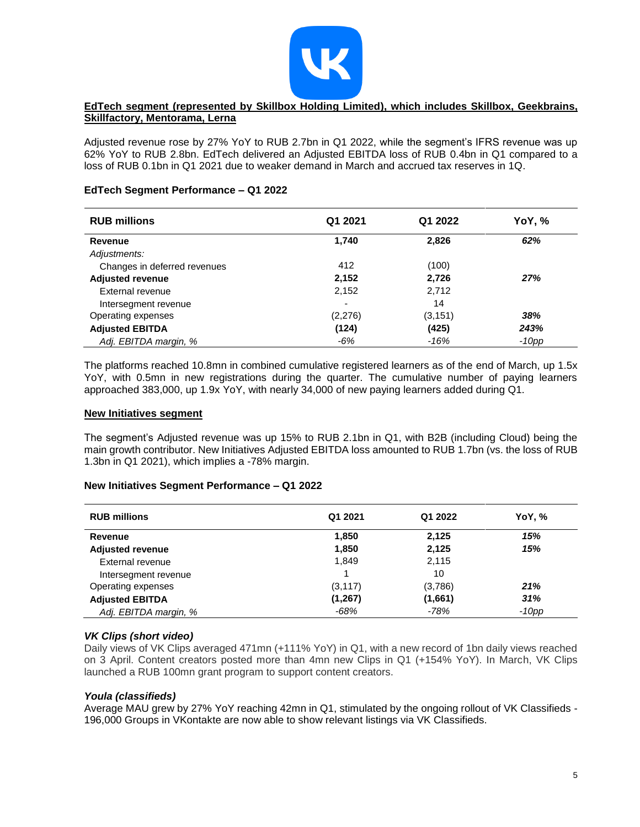

## **EdTech segment (represented by Skillbox Holding Limited), which includes Skillbox, Geekbrains, Skillfactory, Mentorama, Lerna**

Adjusted revenue rose by 27% YoY to RUB 2.7bn in Q1 2022, while the segment's IFRS revenue was up 62% YoY to RUB 2.8bn. EdTech delivered an Adjusted EBITDA loss of RUB 0.4bn in Q1 compared to a loss of RUB 0.1bn in Q1 2021 due to weaker demand in March and accrued tax reserves in 1Q.

### **EdTech Segment Performance – Q1 2022**

| <b>RUB millions</b>          | Q1 2021 | Q1 2022  | YoY, %  |
|------------------------------|---------|----------|---------|
| <b>Revenue</b>               | 1,740   | 2,826    | 62%     |
| Adjustments:                 |         |          |         |
| Changes in deferred revenues | 412     | (100)    |         |
| <b>Adjusted revenue</b>      | 2,152   | 2,726    | 27%     |
| External revenue             | 2,152   | 2,712    |         |
| Intersegment revenue         |         | 14       |         |
| Operating expenses           | (2,276) | (3, 151) | 38%     |
| <b>Adjusted EBITDA</b>       | (124)   | (425)    | 243%    |
| Adj. EBITDA margin, %        | $-6%$   | $-16%$   | $-10pp$ |

The platforms reached 10.8mn in combined cumulative registered learners as of the end of March, up 1.5x YoY, with 0.5mn in new registrations during the quarter. The cumulative number of paying learners approached 383,000, up 1.9x YoY, with nearly 34,000 of new paying learners added during Q1.

### **New Initiatives segment**

The segment's Adjusted revenue was up 15% to RUB 2.1bn in Q1, with B2B (including Cloud) being the main growth contributor. New Initiatives Adjusted EBITDA loss amounted to RUB 1.7bn (vs. the loss of RUB 1.3bn in Q1 2021), which implies a -78% margin.

### **New Initiatives Segment Performance – Q1 2022**

| <b>RUB millions</b>     | Q1 2021  | Q1 2022 | YoY, %   |
|-------------------------|----------|---------|----------|
| Revenue                 | 1,850    | 2,125   | 15%      |
| <b>Adjusted revenue</b> | 1,850    | 2,125   | 15%      |
| External revenue        | 1,849    | 2,115   |          |
| Intersegment revenue    |          | 10      |          |
| Operating expenses      | (3, 117) | (3,786) | 21%      |
| <b>Adjusted EBITDA</b>  | (1, 267) | (1,661) | 31%      |
| Adj. EBITDA margin, %   | -68%     | $-78%$  | $-10$ pp |

### *VK Clips (short video)*

Daily views of VK Clips averaged 471mn (+111% YoY) in Q1, with a new record of 1bn daily views reached on 3 April. Content creators posted more than 4mn new Clips in Q1 (+154% YoY). In March, VK Clips launched a RUB 100mn grant program to support content creators.

### *Youla (classifieds)*

Average MAU grew by 27% YoY reaching 42mn in Q1, stimulated by the ongoing rollout of VK Classifieds - 196,000 Groups in VKontakte are now able to show relevant listings via VK Classifieds.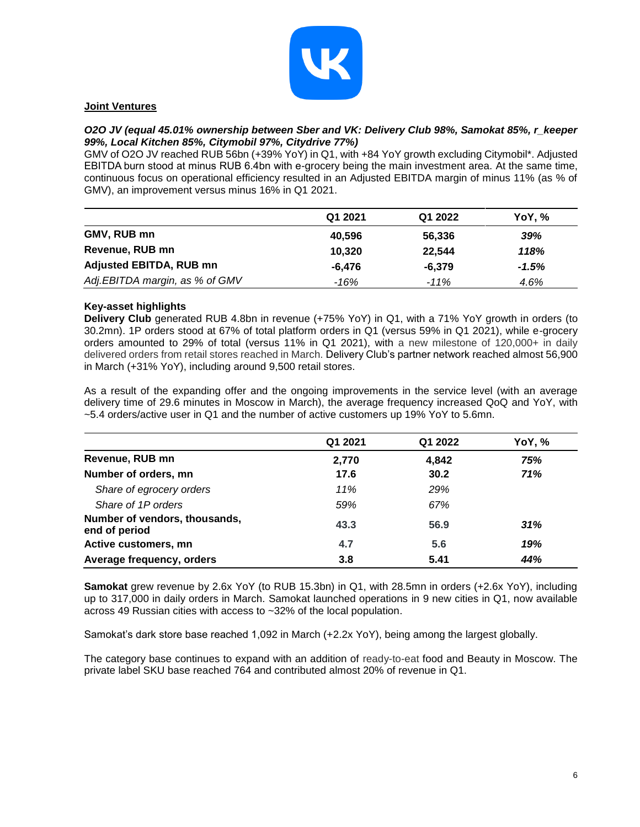

## **Joint Ventures**

### *O2O JV (equal 45.01% ownership between Sber and VK: Delivery Club 98%, Samokat 85%, r\_keeper 99%, Local Kitchen 85%, Citymobil 97%, Citydrive 77%)*

GMV of O2O JV reached RUB 56bn (+39% YoY) in Q1, with +84 YoY growth excluding Citymobil\*. Adjusted EBITDA burn stood at minus RUB 6.4bn with e-grocery being the main investment area. At the same time, continuous focus on operational efficiency resulted in an Adjusted EBITDA margin of minus 11% (as % of GMV), an improvement versus minus 16% in Q1 2021.

|                                | Q1 2021 | Q1 2022 | YoY, %  |
|--------------------------------|---------|---------|---------|
| GMV, RUB mn                    | 40,596  | 56,336  | 39%     |
| Revenue, RUB mn                | 10.320  | 22.544  | 118%    |
| <b>Adjusted EBITDA, RUB mn</b> | -6.476  | -6.379  | $-1.5%$ |
| Adj.EBITDA margin, as % of GMV | -16%    | $-11%$  | 4.6%    |

## **Key-asset highlights**

**Delivery Club** generated RUB 4.8bn in revenue (+75% YoY) in Q1, with a 71% YoY growth in orders (to 30.2mn). 1P orders stood at 67% of total platform orders in Q1 (versus 59% in Q1 2021), while e-grocery orders amounted to 29% of total (versus 11% in Q1 2021), with a new milestone of 120,000+ in daily delivered orders from retail stores reached in March. Delivery Club's partner network reached almost 56,900 in March (+31% YoY), including around 9,500 retail stores.

As a result of the expanding offer and the ongoing improvements in the service level (with an average delivery time of 29.6 minutes in Moscow in March), the average frequency increased QoQ and YoY, with ~5.4 orders/active user in Q1 and the number of active customers up 19% YoY to 5.6mn.

|                                                | Q1 2021 | Q1 2022 | YoY, % |
|------------------------------------------------|---------|---------|--------|
| Revenue, RUB mn                                | 2,770   | 4,842   | 75%    |
| Number of orders, mn                           | 17.6    | 30.2    | 71%    |
| Share of egrocery orders                       | 11%     | 29%     |        |
| Share of 1P orders                             | 59%     | 67%     |        |
| Number of vendors, thousands,<br>end of period | 43.3    | 56.9    | 31%    |
| Active customers, mn                           | 4.7     | 5.6     | 19%    |
| Average frequency, orders                      | 3.8     | 5.41    | 44%    |

**Samokat** grew revenue by 2.6x YoY (to RUB 15.3bn) in Q1, with 28.5mn in orders (+2.6x YoY), including up to 317,000 in daily orders in March. Samokat launched operations in 9 new cities in Q1, now available across 49 Russian cities with access to ~32% of the local population.

Samokat's dark store base reached 1,092 in March (+2.2x YoY), being among the largest globally.

The category base continues to expand with an addition of ready-to-eat food and Beauty in Moscow. The private label SKU base reached 764 and contributed almost 20% of revenue in Q1.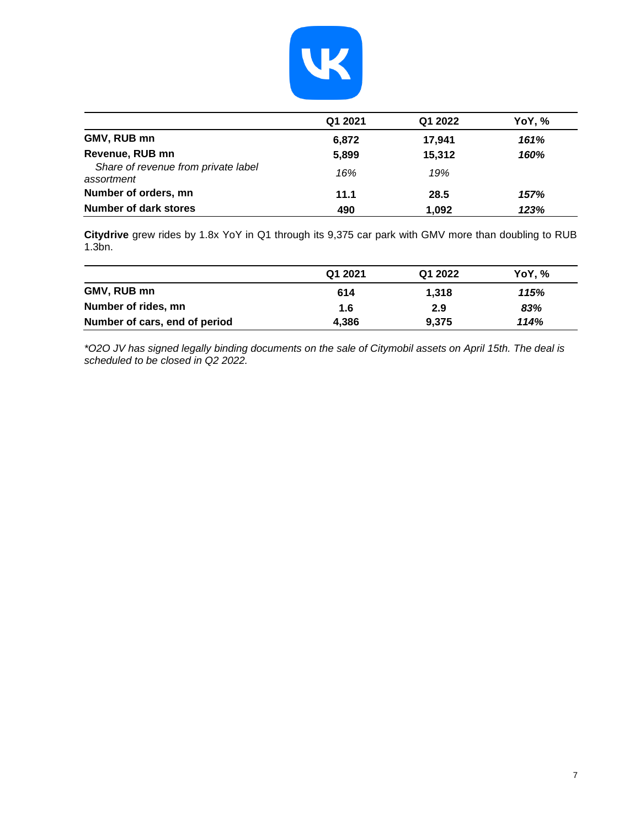

|                                                   | Q1 2021 | Q1 2022 | YoY, % |
|---------------------------------------------------|---------|---------|--------|
| GMV, RUB mn                                       | 6,872   | 17.941  | 161%   |
| Revenue, RUB mn                                   | 5,899   | 15,312  | 160%   |
| Share of revenue from private label<br>assortment | 16%     | 19%     |        |
| Number of orders, mn                              | 11.1    | 28.5    | 157%   |
| Number of dark stores                             | 490     | 1,092   | 123%   |

**Citydrive** grew rides by 1.8x YoY in Q1 through its 9,375 car park with GMV more than doubling to RUB 1.3bn.

|                               | Q1 2021 | Q1 2022 | YoY.% |
|-------------------------------|---------|---------|-------|
| GMV, RUB mn                   | 614     | 1.318   | 115%  |
| Number of rides, mn           | 1.6     | 2.9     | 83%   |
| Number of cars, end of period | 4,386   | 9,375   | 114%  |

*\*O2O JV has signed legally binding documents on the sale of Citymobil assets on April 15th. The deal is scheduled to be closed in Q2 2022.*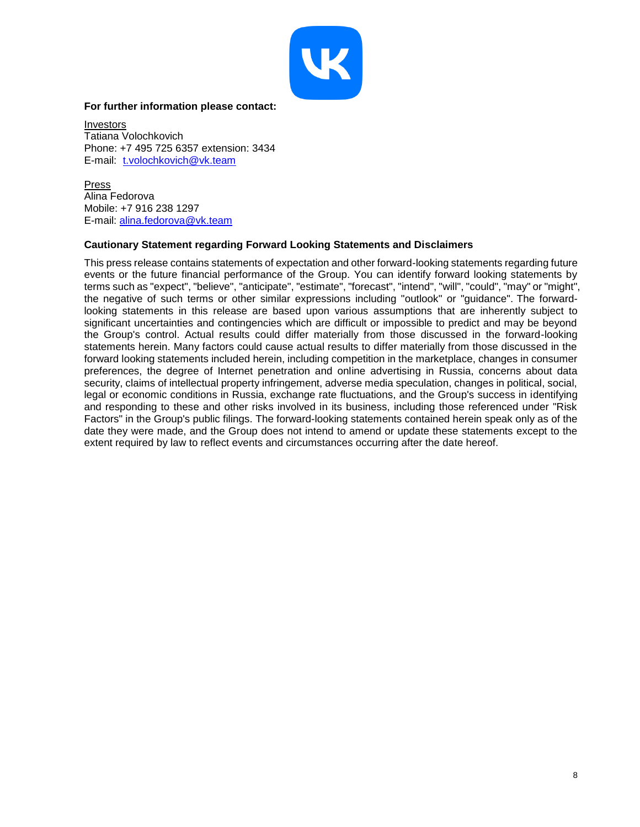

### **For further information please contact:**

Investors Tatiana Volochkovich Phone: +7 495 725 6357 extension: 3434 E-mail: [t.volochkovich@vk.team](mailto:t.volochkovich@vk.team)

Press Alina Fedorova Mobile: +7 916 238 1297 E-mail: [alina.fedorova@vk.team](mailto:alina.fedorova@vk.team)

## **Cautionary Statement regarding Forward Looking Statements and Disclaimers**

This press release contains statements of expectation and other forward-looking statements regarding future events or the future financial performance of the Group. You can identify forward looking statements by terms such as "expect", "believe", "anticipate", "estimate", "forecast", "intend", "will", "could", "may" or "might", the negative of such terms or other similar expressions including "outlook" or "guidance". The forwardlooking statements in this release are based upon various assumptions that are inherently subject to significant uncertainties and contingencies which are difficult or impossible to predict and may be beyond the Group's control. Actual results could differ materially from those discussed in the forward-looking statements herein. Many factors could cause actual results to differ materially from those discussed in the forward looking statements included herein, including competition in the marketplace, changes in consumer preferences, the degree of Internet penetration and online advertising in Russia, concerns about data security, claims of intellectual property infringement, adverse media speculation, changes in political, social, legal or economic conditions in Russia, exchange rate fluctuations, and the Group's success in identifying and responding to these and other risks involved in its business, including those referenced under "Risk Factors" in the Group's public filings. The forward-looking statements contained herein speak only as of the date they were made, and the Group does not intend to amend or update these statements except to the extent required by law to reflect events and circumstances occurring after the date hereof.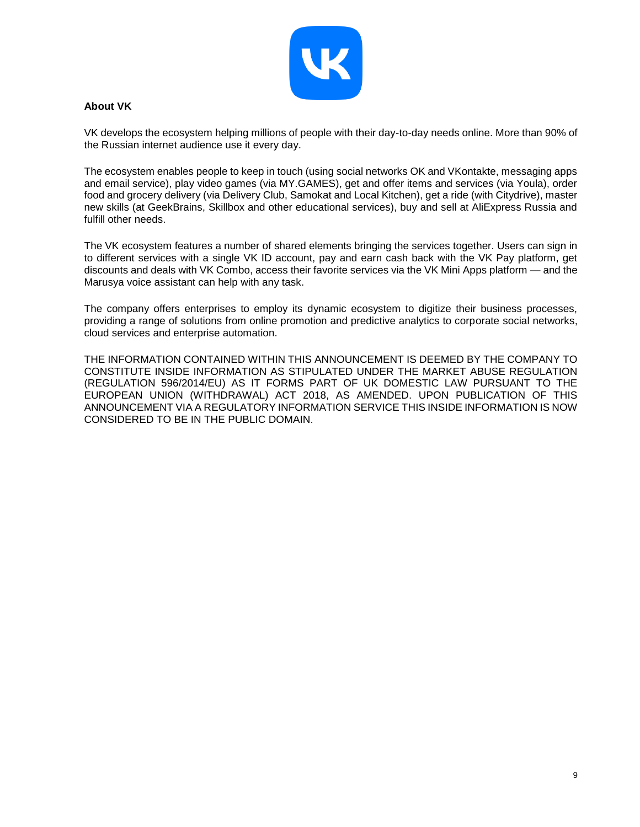

## **About VK**

VK develops the ecosystem helping millions of people with their day-to-day needs online. More than 90% of the Russian internet audience use it every day.

The ecosystem enables people to keep in touch (using social networks OK and VKontakte, messaging apps and email service), play video games (via MY.GAMES), get and offer items and services (via Youla), order food and grocery delivery (via Delivery Club, Samokat and Local Kitchen), get a ride (with Citydrive), master new skills (at GeekBrains, Skillbox and other educational services), buy and sell at AliExpress Russia and fulfill other needs.

The VK ecosystem features a number of shared elements bringing the services together. Users can sign in to different services with a single VK ID account, pay and earn cash back with the VK Pay platform, get discounts and deals with VK Combo, access their favorite services via the VK Mini Apps platform — and the Marusya voice assistant can help with any task.

The company offers enterprises to employ its dynamic ecosystem to digitize their business processes, providing a range of solutions from online promotion and predictive analytics to corporate social networks, cloud services and enterprise automation.

THE INFORMATION CONTAINED WITHIN THIS ANNOUNCEMENT IS DEEMED BY THE COMPANY TO CONSTITUTE INSIDE INFORMATION AS STIPULATED UNDER THE MARKET ABUSE REGULATION (REGULATION 596/2014/EU) AS IT FORMS PART OF UK DOMESTIC LAW PURSUANT TO THE EUROPEAN UNION (WITHDRAWAL) ACT 2018, AS AMENDED. UPON PUBLICATION OF THIS ANNOUNCEMENT VIA A REGULATORY INFORMATION SERVICE THIS INSIDE INFORMATION IS NOW CONSIDERED TO BE IN THE PUBLIC DOMAIN.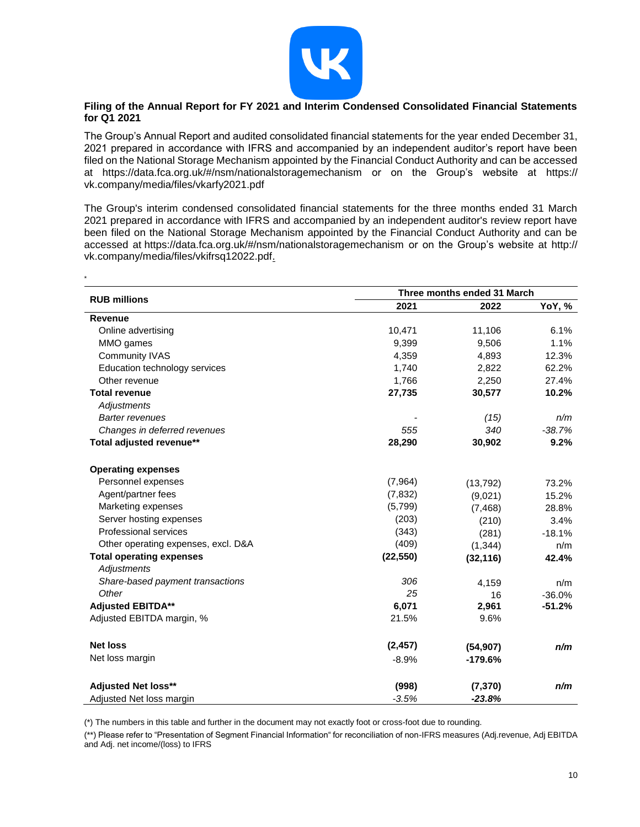

## **Filing of the Annual Report for FY 2021 and Interim Condensed Consolidated Financial Statements for Q1 2021**

The Group's Annual Report and audited consolidated financial statements for the year ended December 31, 2021 prepared in accordance with IFRS and accompanied by an independent auditor's report have been filed on the National Storage Mechanism appointed by the Financial Conduct Authority and can be accessed at https://data.fca.org.uk/#/nsm/nationalstoragemechanism or on the Group's website at https:// vk.company/media/files/vkarfy2021.pdf

The Group's interim condensed consolidated financial statements for the three months ended 31 March 2021 prepared in accordance with IFRS and accompanied by an independent auditor's review report have been filed on the National Storage Mechanism appointed by the Financial Conduct Authority and can be accessed at https://data.fca.org.uk/#/nsm/nationalstoragemechanism or on the Group's website at http:// vk.company/media/files/vkifrsq12022.pdf.

\*

|                                                |           | Three months ended 31 March |                      |
|------------------------------------------------|-----------|-----------------------------|----------------------|
| <b>RUB millions</b>                            | 2021      | 2022                        | YoY, %               |
| <b>Revenue</b>                                 |           |                             |                      |
| Online advertising                             | 10,471    | 11,106                      | 6.1%                 |
| MMO games                                      | 9,399     | 9,506                       | 1.1%                 |
| <b>Community IVAS</b>                          | 4,359     | 4,893                       | 12.3%                |
| Education technology services                  | 1,740     | 2,822                       | 62.2%                |
| Other revenue                                  | 1,766     | 2,250                       | 27.4%                |
| <b>Total revenue</b>                           | 27,735    | 30,577                      | 10.2%                |
| Adjustments                                    |           |                             |                      |
| <b>Barter revenues</b>                         |           | (15)                        | n/m                  |
| Changes in deferred revenues                   | 555       | 340                         | $-38.7%$             |
| Total adjusted revenue**                       | 28,290    | 30,902                      | 9.2%                 |
| <b>Operating expenses</b>                      |           |                             |                      |
| Personnel expenses                             | (7,964)   | (13, 792)                   | 73.2%                |
| Agent/partner fees                             | (7, 832)  | (9,021)                     | 15.2%                |
| Marketing expenses                             | (5,799)   | (7, 468)                    | 28.8%                |
| Server hosting expenses                        | (203)     | (210)                       | 3.4%                 |
| Professional services                          | (343)     | (281)                       | $-18.1%$             |
| Other operating expenses, excl. D&A            | (409)     | (1, 344)                    | n/m                  |
| <b>Total operating expenses</b><br>Adjustments | (22, 550) | (32, 116)                   | 42.4%                |
|                                                | 306       |                             |                      |
| Share-based payment transactions<br>Other      | 25        | 4,159                       | n/m                  |
| <b>Adjusted EBITDA**</b>                       | 6,071     | 16<br>2,961                 | $-36.0%$<br>$-51.2%$ |
|                                                | 21.5%     | 9.6%                        |                      |
| Adjusted EBITDA margin, %                      |           |                             |                      |
| <b>Net loss</b>                                | (2, 457)  | (54, 907)                   | n/m                  |
| Net loss margin                                | $-8.9%$   | $-179.6%$                   |                      |
| <b>Adjusted Net loss**</b>                     | (998)     | (7, 370)                    | n/m                  |
| Adjusted Net loss margin                       | $-3.5%$   | $-23.8%$                    |                      |

(\*) The numbers in this table and further in the document may not exactly foot or cross-foot due to rounding.

(\*\*) Please refer to "Presentation of Segment Financial Information" for reconciliation of non-IFRS measures (Adj.revenue, Adj EBITDA and Adj. net income/(loss) to IFRS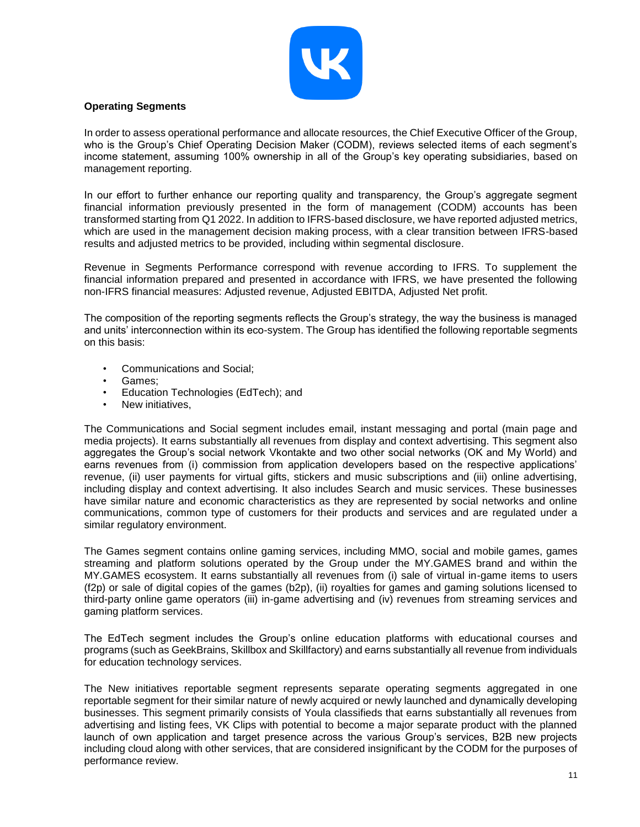

## **Operating Segments**

In order to assess operational performance and allocate resources, the Chief Executive Officer of the Group, who is the Group's Chief Operating Decision Maker (CODM), reviews selected items of each segment's income statement, assuming 100% ownership in all of the Group's key operating subsidiaries, based on management reporting.

In our effort to further enhance our reporting quality and transparency, the Group's aggregate segment financial information previously presented in the form of management (CODM) accounts has been transformed starting from Q1 2022. In addition to IFRS-based disclosure, we have reported adjusted metrics, which are used in the management decision making process, with a clear transition between IFRS-based results and adjusted metrics to be provided, including within segmental disclosure.

Revenue in Segments Performance correspond with revenue according to IFRS. To supplement the financial information prepared and presented in accordance with IFRS, we have presented the following non-IFRS financial measures: Adjusted revenue, Adjusted EBITDA, Adjusted Net profit.

The composition of the reporting segments reflects the Group's strategy, the way the business is managed and units' interconnection within its eco-system. The Group has identified the following reportable segments on this basis:

- Communications and Social;
- Games:
- Education Technologies (EdTech); and
- New initiatives,

The Communications and Social segment includes email, instant messaging and portal (main page and media projects). It earns substantially all revenues from display and context advertising. This segment also aggregates the Group's social network Vkontakte and two other social networks (OK and My World) and earns revenues from (i) commission from application developers based on the respective applications' revenue, (ii) user payments for virtual gifts, stickers and music subscriptions and (iii) online advertising, including display and context advertising. It also includes Search and music services. These businesses have similar nature and economic characteristics as they are represented by social networks and online communications, common type of customers for their products and services and are regulated under a similar regulatory environment.

The Games segment contains online gaming services, including MMO, social and mobile games, games streaming and platform solutions operated by the Group under the MY.GAMES brand and within the MY.GAMES ecosystem. It earns substantially all revenues from (i) sale of virtual in-game items to users (f2p) or sale of digital copies of the games (b2p), (ii) royalties for games and gaming solutions licensed to third-party online game operators (iii) in-game advertising and (iv) revenues from streaming services and gaming platform services.

The EdTech segment includes the Group's online education platforms with educational courses and programs (such as GeekBrains, Skillbox and Skillfactory) and earns substantially all revenue from individuals for education technology services.

The New initiatives reportable segment represents separate operating segments aggregated in one reportable segment for their similar nature of newly acquired or newly launched and dynamically developing businesses. This segment primarily consists of Youla classifieds that earns substantially all revenues from advertising and listing fees, VK Clips with potential to become a major separate product with the planned launch of own application and target presence across the various Group's services, B2B new projects including cloud along with other services, that are considered insignificant by the CODM for the purposes of performance review.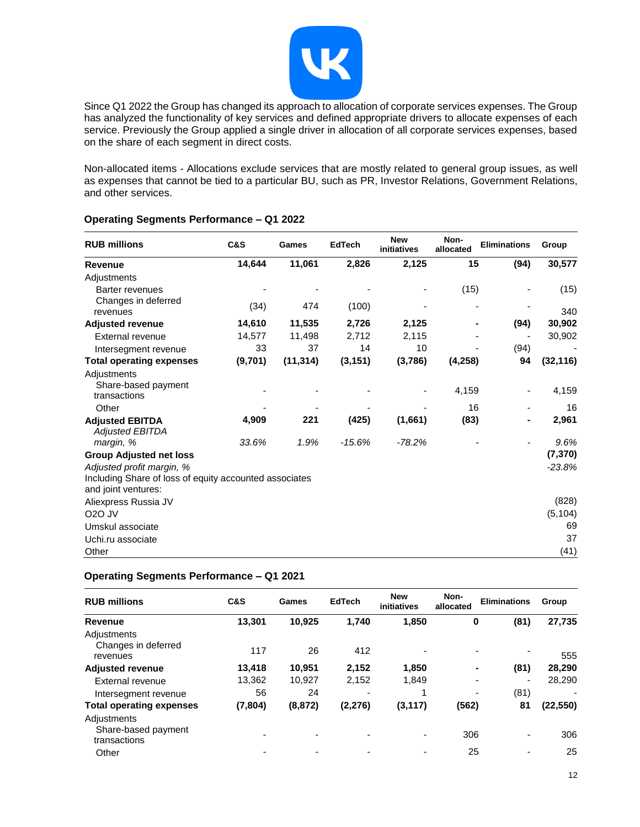

Since Q1 2022 the Group has changed its approach to allocation of corporate services expenses. The Group has analyzed the functionality of key services and defined appropriate drivers to allocate expenses of each service. Previously the Group applied a single driver in allocation of all corporate services expenses, based on the share of each segment in direct costs.

Non-allocated items - Allocations exclude services that are mostly related to general group issues, as well as expenses that cannot be tied to a particular BU, such as PR, Investor Relations, Government Relations, and other services.

| <b>RUB millions</b>                                                           | C&S     | Games     | <b>EdTech</b> | <b>New</b><br>initiatives | Non-<br>allocated | <b>Eliminations</b> | Group     |
|-------------------------------------------------------------------------------|---------|-----------|---------------|---------------------------|-------------------|---------------------|-----------|
| <b>Revenue</b>                                                                | 14,644  | 11,061    | 2,826         | 2,125                     | 15                | (94)                | 30,577    |
| Adjustments                                                                   |         |           |               |                           |                   |                     |           |
| <b>Barter revenues</b>                                                        |         |           |               |                           | (15)              |                     | (15)      |
| Changes in deferred<br>revenues                                               | (34)    | 474       | (100)         |                           |                   |                     | 340       |
| <b>Adjusted revenue</b>                                                       | 14,610  | 11,535    | 2,726         | 2,125                     |                   | (94)                | 30,902    |
| External revenue                                                              | 14,577  | 11,498    | 2,712         | 2,115                     |                   |                     | 30,902    |
| Intersegment revenue                                                          | 33      | 37        | 14            | 10                        |                   | (94)                |           |
| <b>Total operating expenses</b>                                               | (9,701) | (11, 314) | (3, 151)      | (3,786)                   | (4,258)           | 94                  | (32, 116) |
| Adjustments<br>Share-based payment<br>transactions                            |         |           |               |                           | 4,159             |                     | 4,159     |
| Other                                                                         |         |           |               |                           | 16                |                     | 16        |
| <b>Adjusted EBITDA</b><br><b>Adjusted EBITDA</b>                              | 4,909   | 221       | (425)         | (1,661)                   | (83)              |                     | 2,961     |
| margin, %                                                                     | 33.6%   | 1.9%      | $-15.6%$      | $-78.2%$                  |                   |                     | 9.6%      |
| <b>Group Adjusted net loss</b>                                                |         |           |               |                           |                   |                     | (7, 370)  |
| Adjusted profit margin, %                                                     |         |           |               |                           |                   |                     | $-23.8%$  |
| Including Share of loss of equity accounted associates<br>and joint ventures: |         |           |               |                           |                   |                     |           |
| Aliexpress Russia JV                                                          |         |           |               |                           |                   |                     | (828)     |
| <b>O2O JV</b>                                                                 |         |           |               |                           |                   |                     | (5, 104)  |
| Umskul associate                                                              |         |           |               |                           |                   |                     | 69        |
| Uchi.ru associate                                                             |         |           |               |                           |                   |                     | 37        |
| Other                                                                         |         |           |               |                           |                   |                     | (41)      |

## **Operating Segments Performance – Q1 2022**

## **Operating Segments Performance – Q1 2021**

| <b>RUB millions</b>                                | C&S                      | Games    | <b>EdTech</b> | <b>New</b><br>initiatives | Non-<br>allocated | <b>Eliminations</b>              | Group     |
|----------------------------------------------------|--------------------------|----------|---------------|---------------------------|-------------------|----------------------------------|-----------|
| Revenue                                            | 13,301                   | 10,925   | 1,740         | 1,850                     | 0                 | (81)                             | 27,735    |
| Adjustments<br>Changes in deferred<br>revenues     | 117                      | 26       | 412           |                           |                   | $\overline{\phantom{0}}$         | 555       |
| <b>Adjusted revenue</b>                            | 13,418                   | 10.951   | 2,152         | 1,850                     |                   | (81)<br>۰                        | 28,290    |
| External revenue                                   | 13,362                   | 10,927   | 2,152         | 1,849                     |                   | -                                | 28,290    |
| Intersegment revenue                               | 56                       | 24       |               |                           |                   | (81)<br>$\overline{\phantom{a}}$ |           |
| <b>Total operating expenses</b>                    | (7, 804)                 | (8, 872) | (2, 276)      | (3, 117)                  | (562)             | 81                               | (22, 550) |
| Adjustments<br>Share-based payment<br>transactions | -                        | -        |               | $\overline{\phantom{0}}$  | 306               |                                  | 306       |
| Other                                              | $\overline{\phantom{0}}$ |          |               | $\overline{\phantom{0}}$  | 25                | ۰                                | 25        |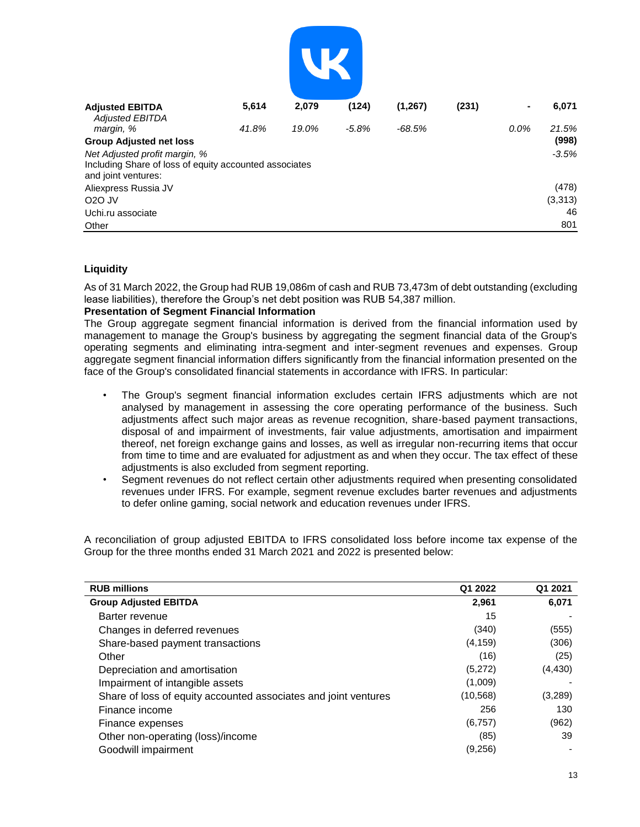| <b>Adjusted EBITDA</b>                                                        | 5,614 | 2,079 | (124)   | (1, 267) | (231) | $\blacksquare$ | 6,071    |
|-------------------------------------------------------------------------------|-------|-------|---------|----------|-------|----------------|----------|
| <b>Adjusted EBITDA</b><br>margin, %                                           | 41.8% | 19.0% | $-5.8%$ | $-68.5%$ |       | 0.0%           | 21.5%    |
| <b>Group Adjusted net loss</b>                                                |       |       |         |          |       |                | (998)    |
| Net Adjusted profit margin, %                                                 |       |       |         |          |       |                | $-3.5%$  |
| Including Share of loss of equity accounted associates<br>and joint ventures: |       |       |         |          |       |                |          |
| Aliexpress Russia JV                                                          |       |       |         |          |       |                | (478)    |
| O <sub>2</sub> O JV                                                           |       |       |         |          |       |                | (3, 313) |
| Uchi.ru associate                                                             |       |       |         |          |       |                | 46       |
| Other                                                                         |       |       |         |          |       |                | 801      |

## **Liquidity**

As of 31 March 2022, the Group had RUB 19,086m of cash and RUB 73,473m of debt outstanding (excluding lease liabilities), therefore the Group's net debt position was RUB 54,387 million.

### **Presentation of Segment Financial Information**

The Group aggregate segment financial information is derived from the financial information used by management to manage the Group's business by aggregating the segment financial data of the Group's operating segments and eliminating intra-segment and inter-segment revenues and expenses. Group aggregate segment financial information differs significantly from the financial information presented on the face of the Group's consolidated financial statements in accordance with IFRS. In particular:

- The Group's segment financial information excludes certain IFRS adjustments which are not analysed by management in assessing the core operating performance of the business. Such adjustments affect such major areas as revenue recognition, share-based payment transactions, disposal of and impairment of investments, fair value adjustments, amortisation and impairment thereof, net foreign exchange gains and losses, as well as irregular non-recurring items that occur from time to time and are evaluated for adjustment as and when they occur. The tax effect of these adjustments is also excluded from segment reporting.
- Segment revenues do not reflect certain other adjustments required when presenting consolidated revenues under IFRS. For example, segment revenue excludes barter revenues and adjustments to defer online gaming, social network and education revenues under IFRS.

A reconciliation of group adjusted EBITDA to IFRS consolidated loss before income tax expense of the Group for the three months ended 31 March 2021 and 2022 is presented below:

| <b>RUB millions</b>                                             | Q1 2022   | Q1 2021  |
|-----------------------------------------------------------------|-----------|----------|
| <b>Group Adjusted EBITDA</b>                                    | 2,961     | 6,071    |
| Barter revenue                                                  | 15        |          |
| Changes in deferred revenues                                    | (340)     | (555)    |
| Share-based payment transactions                                | (4, 159)  | (306)    |
| Other                                                           | (16)      | (25)     |
| Depreciation and amortisation                                   | (5,272)   | (4, 430) |
| Impairment of intangible assets                                 | (1,009)   |          |
| Share of loss of equity accounted associates and joint ventures | (10, 568) | (3,289)  |
| Finance income                                                  | 256       | 130      |
| Finance expenses                                                | (6, 757)  | (962)    |
| Other non-operating (loss)/income                               | (85)      | 39       |
| Goodwill impairment                                             | (9,256)   |          |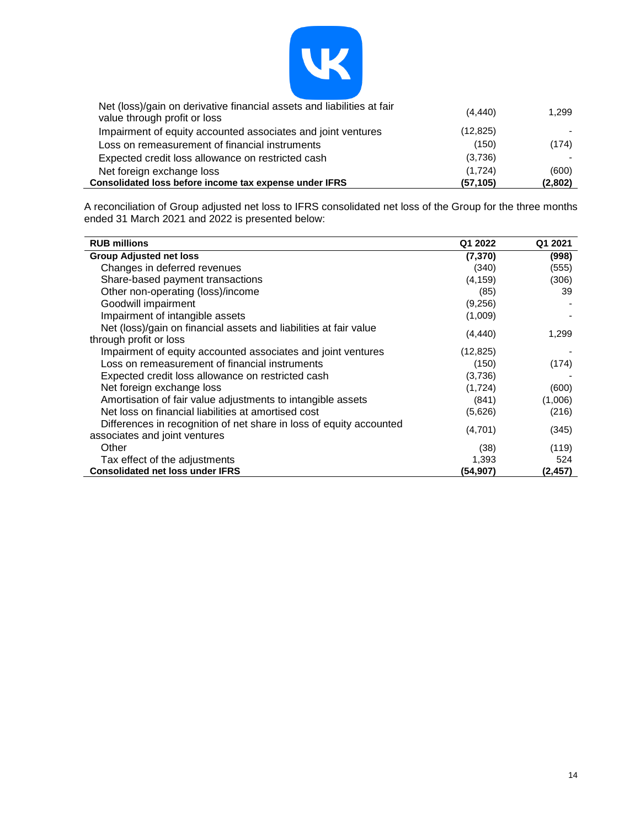

| Net (loss)/gain on derivative financial assets and liabilities at fair<br>value through profit or loss | (4, 440)  | 1.299   |
|--------------------------------------------------------------------------------------------------------|-----------|---------|
| Impairment of equity accounted associates and joint ventures                                           | (12, 825) |         |
| Loss on remeasurement of financial instruments                                                         | (150)     | (174)   |
| Expected credit loss allowance on restricted cash                                                      | (3,736)   |         |
| Net foreign exchange loss                                                                              | (1,724)   | (600)   |
| Consolidated loss before income tax expense under IFRS                                                 | (57, 105) | (2,802) |

A reconciliation of Group adjusted net loss to IFRS consolidated net loss of the Group for the three months ended 31 March 2021 and 2022 is presented below:

| <b>RUB millions</b>                                                                                  | Q1 2022   | Q1 2021 |
|------------------------------------------------------------------------------------------------------|-----------|---------|
| <b>Group Adjusted net loss</b>                                                                       | (7, 370)  | (998)   |
| Changes in deferred revenues                                                                         | (340)     | (555)   |
| Share-based payment transactions                                                                     | (4, 159)  | (306)   |
| Other non-operating (loss)/income                                                                    | (85)      | 39      |
| Goodwill impairment                                                                                  | (9,256)   |         |
| Impairment of intangible assets                                                                      | (1,009)   |         |
| Net (loss)/gain on financial assets and liabilities at fair value<br>through profit or loss          | (4, 440)  | 1,299   |
| Impairment of equity accounted associates and joint ventures                                         | (12, 825) |         |
| Loss on remeasurement of financial instruments                                                       | (150)     | (174)   |
| Expected credit loss allowance on restricted cash                                                    | (3,736)   |         |
| Net foreign exchange loss                                                                            | (1,724)   | (600)   |
| Amortisation of fair value adjustments to intangible assets                                          | (841)     | (1,006) |
| Net loss on financial liabilities at amortised cost                                                  | (5,626)   | (216)   |
| Differences in recognition of net share in loss of equity accounted<br>associates and joint ventures | (4,701)   | (345)   |
| Other                                                                                                | (38)      | (119)   |
| Tax effect of the adjustments                                                                        | 1,393     | 524     |
| <b>Consolidated net loss under IFRS</b>                                                              | (54,907)  | (2,457) |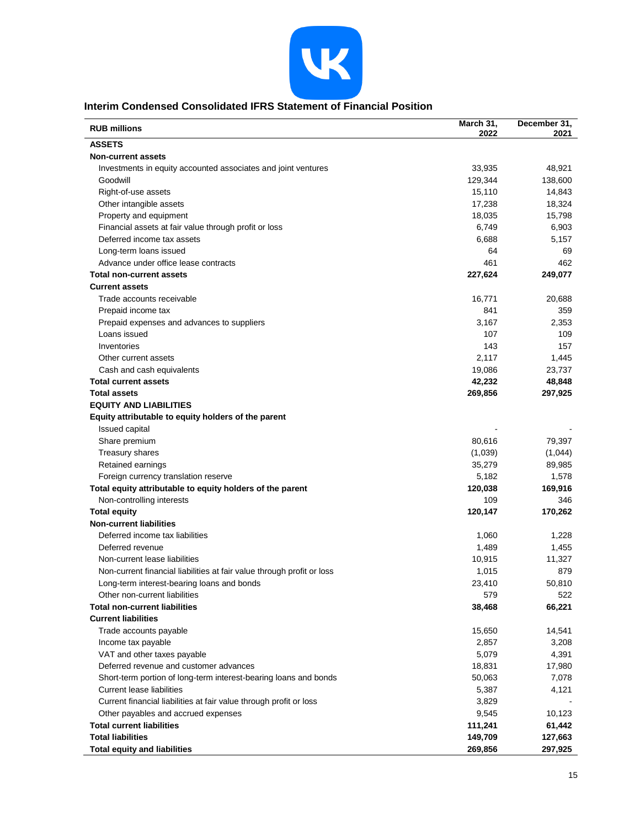

## **Interim Condensed Consolidated IFRS Statement of Financial Position**

| <b>RUB millions</b>                                                    | March 31,<br>2022 | December 31,<br>2021 |
|------------------------------------------------------------------------|-------------------|----------------------|
| <b>ASSETS</b>                                                          |                   |                      |
| <b>Non-current assets</b>                                              |                   |                      |
| Investments in equity accounted associates and joint ventures          | 33,935            | 48,921               |
| Goodwill                                                               | 129,344           | 138,600              |
| Right-of-use assets                                                    | 15,110            | 14,843               |
| Other intangible assets                                                | 17,238            | 18,324               |
| Property and equipment                                                 | 18,035            | 15,798               |
| Financial assets at fair value through profit or loss                  | 6,749             | 6,903                |
| Deferred income tax assets                                             | 6,688             | 5,157                |
| Long-term loans issued                                                 | 64                | 69                   |
| Advance under office lease contracts                                   | 461               | 462                  |
| <b>Total non-current assets</b>                                        | 227,624           | 249,077              |
| <b>Current assets</b>                                                  |                   |                      |
| Trade accounts receivable                                              | 16,771            | 20,688               |
| Prepaid income tax                                                     | 841               | 359                  |
| Prepaid expenses and advances to suppliers                             | 3,167             | 2,353                |
| Loans issued                                                           | 107               | 109                  |
| Inventories                                                            | 143               | 157                  |
| Other current assets                                                   | 2,117             | 1,445                |
| Cash and cash equivalents                                              | 19,086            | 23,737               |
| <b>Total current assets</b>                                            | 42,232            | 48,848               |
| <b>Total assets</b>                                                    | 269,856           | 297,925              |
| <b>EQUITY AND LIABILITIES</b>                                          |                   |                      |
| Equity attributable to equity holders of the parent                    |                   |                      |
| <b>Issued capital</b>                                                  |                   |                      |
| Share premium                                                          | 80,616            | 79,397               |
| Treasury shares                                                        | (1,039)           | (1,044)              |
| Retained earnings                                                      | 35,279            | 89,985               |
| Foreign currency translation reserve                                   | 5,182             | 1,578                |
| Total equity attributable to equity holders of the parent              | 120,038           | 169,916              |
| Non-controlling interests                                              | 109               | 346                  |
| <b>Total equity</b>                                                    | 120,147           | 170,262              |
| <b>Non-current liabilities</b>                                         |                   |                      |
| Deferred income tax liabilities                                        | 1,060             | 1,228                |
| Deferred revenue                                                       | 1,489             | 1,455                |
| Non-current lease liabilities                                          | 10,915            | 11,327               |
| Non-current financial liabilities at fair value through profit or loss | 1,015             | 879                  |
| Long-term interest-bearing loans and bonds                             | 23,410            | 50,810               |
| Other non-current liabilities                                          | 579               | 522                  |
| <b>Total non-current liabilities</b>                                   | 38,468            | 66,221               |
| <b>Current liabilities</b>                                             |                   |                      |
| Trade accounts payable                                                 | 15,650            | 14,541               |
| Income tax payable                                                     | 2,857             | 3,208                |
| VAT and other taxes payable                                            | 5,079             | 4,391                |
| Deferred revenue and customer advances                                 | 18,831            | 17,980               |
| Short-term portion of long-term interest-bearing loans and bonds       | 50,063            | 7,078                |
| <b>Current lease liabilities</b>                                       | 5,387             | 4,121                |
| Current financial liabilities at fair value through profit or loss     | 3,829             |                      |
| Other payables and accrued expenses                                    | 9,545             | 10,123               |
| <b>Total current liabilities</b>                                       | 111,241           | 61,442               |
| <b>Total liabilities</b>                                               | 149,709           | 127,663              |
| <b>Total equity and liabilities</b>                                    | 269,856           | 297,925              |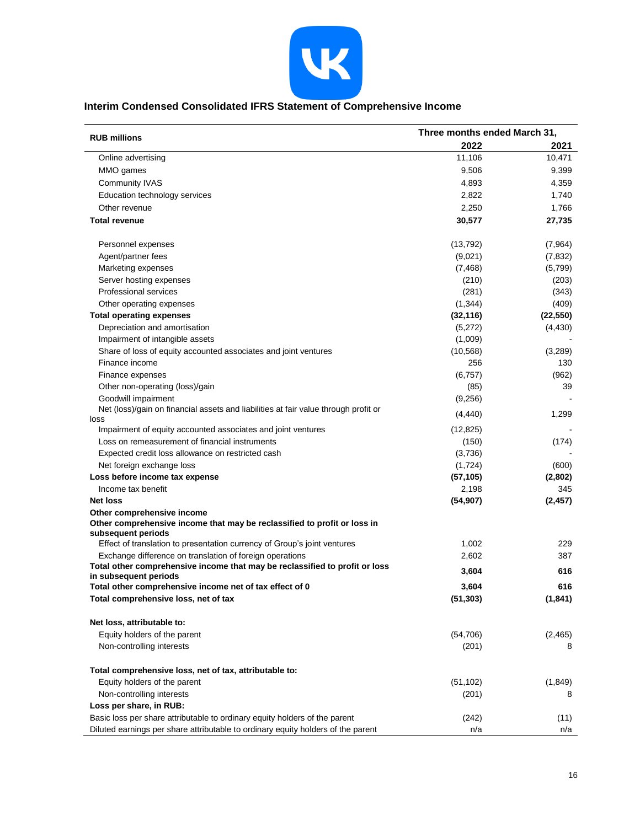

## **Interim Condensed Consolidated IFRS Statement of Comprehensive Income**

| <b>RUB millions</b>                                                                                    | Three months ended March 31, |           |
|--------------------------------------------------------------------------------------------------------|------------------------------|-----------|
|                                                                                                        | 2022                         | 2021      |
| Online advertising                                                                                     | 11,106                       | 10,471    |
| MMO games                                                                                              | 9,506                        | 9,399     |
| <b>Community IVAS</b>                                                                                  | 4,893                        | 4,359     |
| Education technology services                                                                          | 2,822                        | 1,740     |
| Other revenue                                                                                          | 2,250                        | 1,766     |
| <b>Total revenue</b>                                                                                   | 30,577                       | 27,735    |
| Personnel expenses                                                                                     | (13, 792)                    | (7,964)   |
| Agent/partner fees                                                                                     | (9,021)                      | (7, 832)  |
| Marketing expenses                                                                                     | (7, 468)                     | (5,799)   |
| Server hosting expenses                                                                                | (210)                        | (203)     |
| <b>Professional services</b>                                                                           | (281)                        | (343)     |
| Other operating expenses                                                                               | (1, 344)                     | (409)     |
| <b>Total operating expenses</b>                                                                        | (32, 116)                    | (22, 550) |
| Depreciation and amortisation                                                                          | (5,272)                      | (4, 430)  |
| Impairment of intangible assets                                                                        | (1,009)                      |           |
| Share of loss of equity accounted associates and joint ventures                                        | (10, 568)                    | (3,289)   |
| Finance income                                                                                         | 256                          | 130       |
| Finance expenses                                                                                       | (6,757)                      | (962)     |
| Other non-operating (loss)/gain                                                                        | (85)                         | 39        |
| Goodwill impairment                                                                                    | (9,256)                      |           |
| Net (loss)/gain on financial assets and liabilities at fair value through profit or<br>loss            | (4, 440)                     | 1,299     |
| Impairment of equity accounted associates and joint ventures                                           | (12, 825)                    |           |
| Loss on remeasurement of financial instruments                                                         | (150)                        | (174)     |
| Expected credit loss allowance on restricted cash                                                      | (3,736)                      |           |
| Net foreign exchange loss                                                                              | (1, 724)                     | (600)     |
| Loss before income tax expense                                                                         | (57, 105)                    | (2,802)   |
| Income tax benefit                                                                                     | 2,198                        | 345       |
| <b>Net loss</b>                                                                                        | (54, 907)                    | (2, 457)  |
| Other comprehensive income<br>Other comprehensive income that may be reclassified to profit or loss in |                              |           |
| subsequent periods                                                                                     |                              |           |
| Effect of translation to presentation currency of Group's joint ventures                               | 1,002                        | 229       |
| Exchange difference on translation of foreign operations                                               | 2,602                        | 387       |
| Total other comprehensive income that may be reclassified to profit or loss<br>in subsequent periods   | 3,604                        | 616       |
| Total other comprehensive income net of tax effect of 0                                                | 3,604                        | 616       |
| Total comprehensive loss, net of tax                                                                   | (51, 303)                    | (1, 841)  |
| Net loss, attributable to:                                                                             |                              |           |
| Equity holders of the parent                                                                           | (54, 706)                    | (2, 465)  |
| Non-controlling interests                                                                              | (201)                        | 8         |
| Total comprehensive loss, net of tax, attributable to:                                                 |                              |           |
| Equity holders of the parent                                                                           | (51, 102)                    | (1,849)   |
| Non-controlling interests                                                                              | (201)                        | 8         |
| Loss per share, in RUB:                                                                                |                              |           |
| Basic loss per share attributable to ordinary equity holders of the parent                             | (242)                        | (11)      |
| Diluted earnings per share attributable to ordinary equity holders of the parent                       | n/a                          | n/a       |